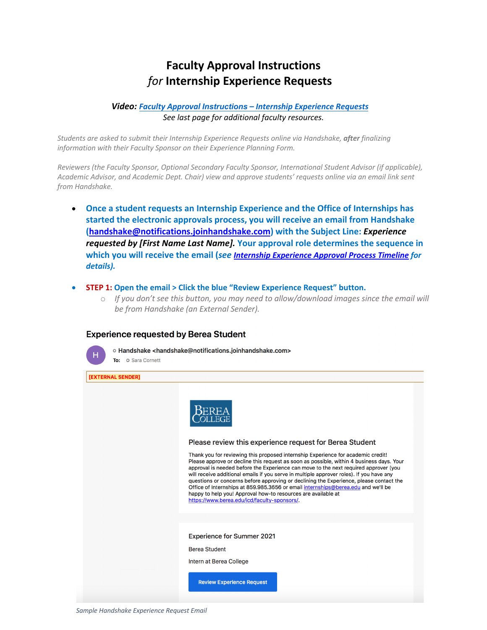# **Faculty Approval Instructions** *for* **Internship Experience Requests**

# *Video: Faculty Approval Instructions [– Internship Experience Requests](https://youtu.be/GiUfm-uEd5Q) See last page for additional faculty resources.*

*Students are asked to submit their Internship Experience Requests online via Handshake, after finalizing information with their Faculty Sponsor on their Experience Planning Form.* 

*Reviewers (the Faculty Sponsor, Optional Secondary Faculty Sponsor, International Student Advisor (if applicable), Academic Advisor, and Academic Dept. Chair) view and approve students' requests online via an email link sent from Handshake.*

- **Once a student requests an Internship Experience and the Office of Internships has started the electronic approvals process, you will receive an email from Handshake (handshake@notifications.joinhandshake.com) with the Subject Line:** *Experience requested by [First Name Last Name].* **Your approval role determines the sequence in which you will receive the email (***see [Internship Experience Approval Process Timeline](https://4efrxppj37l1sgsbr1ye6idr-wpengine.netdna-ssl.com/icd/wp-content/uploads/sites/152/2020/01/Faculty-Approval-Instructions-Internship-Experience-Requests.pdf) for details).*
- **STEP 1: Open the email > Click the blue "Review Experience Request" button.**
	- o *If you don't see this button, you may need to allow/download images since the email will be from Handshake (an External Sender).*

#### **Experience requested by Berea Student**



o Handshake <handshake@notifications.joinhandshake.com> To: O Sara Cornett

[EXTERNAL SENDER]

| Please review this experience request for Berea Student<br>Thank you for reviewing this proposed internship Experience for academic credit!<br>Please approve or decline this request as soon as possible, within 4 business days. Your<br>approval is needed before the Experience can move to the next required approver (you<br>will receive additional emails if you serve in multiple approver roles). If you have any<br>questions or concerns before approving or declining the Experience, please contact the<br>Office of Internships at 859.985.3656 or email internships@berea.edu and we'll be<br>happy to help you! Approval how-to resources are available at<br>https://www.berea.edu/icd/faculty-sponsors/. |
|-----------------------------------------------------------------------------------------------------------------------------------------------------------------------------------------------------------------------------------------------------------------------------------------------------------------------------------------------------------------------------------------------------------------------------------------------------------------------------------------------------------------------------------------------------------------------------------------------------------------------------------------------------------------------------------------------------------------------------|
| <b>Experience for Summer 2021</b><br><b>Berea Student</b><br>Intern at Berea College<br><b>Review Experience Request</b>                                                                                                                                                                                                                                                                                                                                                                                                                                                                                                                                                                                                    |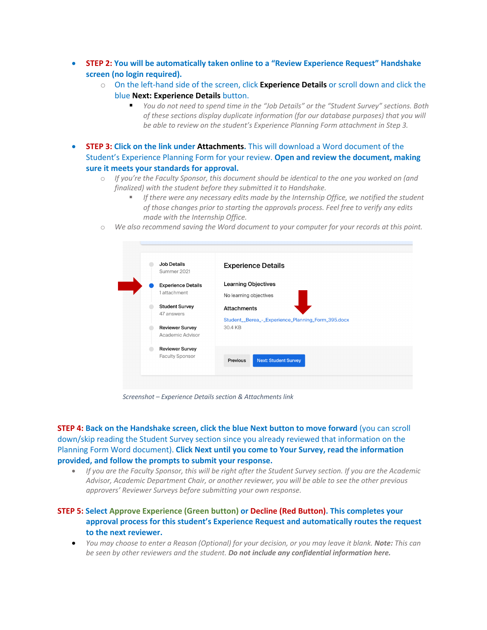- **STEP 2: You will be automatically taken online to a "Review Experience Request" Handshake screen (no login required).**
	- o On the left-hand side of the screen, click **Experience Details** or scroll down and click the blue **Next: Experience Details** button.
		- § *You do not need to spend time in the "Job Details" or the "Student Survey" sections. Both of these sections display duplicate information (for our database purposes) that you will be able to review on the student's Experience Planning Form attachment in Step 3.*
- **STEP 3: Click on the link under Attachments.** This will download a Word document of the Student's Experience Planning Form for your review. **Open and review the document, making sure it meets your standards for approval.** 
	- o *If you're the Faculty Sponsor, this document should be identical to the one you worked on (and finalized) with the student before they submitted it to Handshake.*
		- § *If there were any necessary edits made by the Internship Office, we notified the student of those changes prior to starting the approvals process. Feel free to verify any edits made with the Internship Office.*
	- o *We also recommend saving the Word document to your computer for your records at this point.*



*Screenshot – Experience Details section & Attachments link*

**STEP 4: Back on the Handshake screen, click the blue Next button to move forward** (you can scroll down/skip reading the Student Survey section since you already reviewed that information on the Planning Form Word document). **Click Next until you come to Your Survey, read the information provided, and follow the prompts to submit your response.**

• *If you are the Faculty Sponsor, this will be right after the Student Survey section. If you are the Academic Advisor, Academic Department Chair, or another reviewer, you will be able to see the other previous approvers' Reviewer Surveys before submitting your own response.*

## **STEP 5: Select Approve Experience (Green button) or Decline (Red Button). This completes your approval process for this student's Experience Request and automatically routes the request to the next reviewer.**

• *You may choose to enter a Reason (Optional) for your decision, or you may leave it blank. Note: This can be seen by other reviewers and the student. Do not include any confidential information here.*